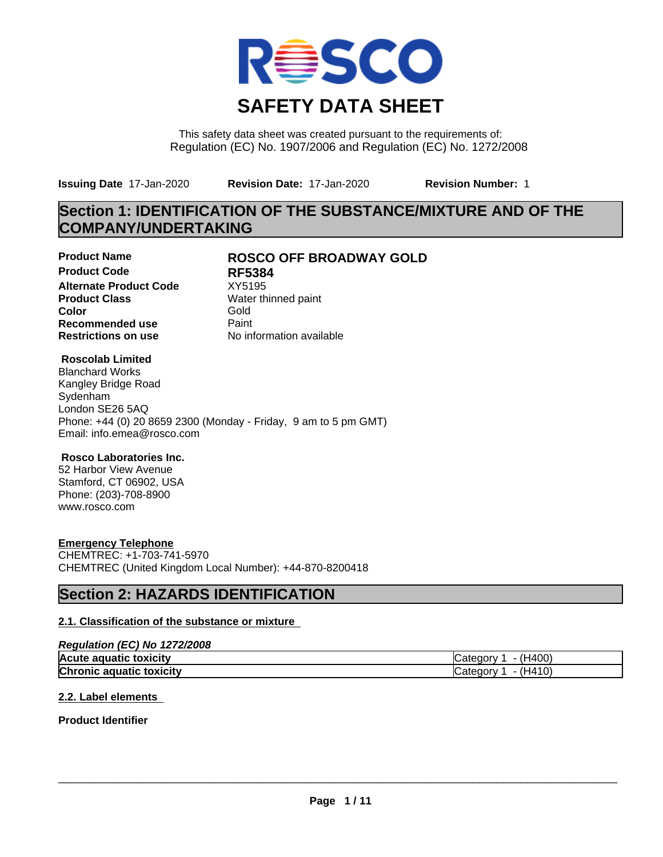

This safety data sheet was created pursuant to the requirements of: Regulation (EC) No. 1907/2006 and Regulation (EC) No. 1272/2008

**Issuing Date** 17-Jan-2020 **Revision Date:** 17-Jan-2020 **Revision Number:** 1

# **Section 1: IDENTIFICATION OF THE SUBSTANCE/MIXTURE AND OF THE COMPANY/UNDERTAKING**

**Product Code RF5384 Alternate Product Code** XY5195<br> **Product Class** Water th **Product Class** Water thinned paint<br> **Color** Gold **Color** Gold **Recommended use** Paint<br> **Restrictions on use** Mo information available **Restrictions on use** 

### **Product Name ROSCO OFF BROADWAY GOLD**

### **Roscolab Limited**

Blanchard Works Kangley Bridge Road Sydenham London SE26 5AQ Phone: +44 (0) 20 8659 2300 (Monday - Friday, 9 am to 5 pm GMT) Email: info.emea@rosco.com

### **Rosco Laboratories Inc.**

52 Harbor View Avenue Stamford, CT 06902, USA Phone: (203)-708-8900 www.rosco.com

### **Emergency Telephone**

CHEMTREC: +1-703-741-5970 CHEMTREC (United Kingdom Local Number): +44-870-8200418

## **Section 2: HAZARDS IDENTIFICATION**

### **2.1. Classification of the substance or mixture**

### *Regulation (EC) No 1272/2008*

| Acute<br>toxicity<br>≅aquatıc          | . $H_{A}$<br>. vinne*                                                                                                                                                                                                                                                                                                                                                                               |
|----------------------------------------|-----------------------------------------------------------------------------------------------------------------------------------------------------------------------------------------------------------------------------------------------------------------------------------------------------------------------------------------------------------------------------------------------------|
| Chronio<br>toxicity<br>aquatic<br>onic | $\overline{A}$ $\overline{A}$ $\overline{A}$ $\overline{A}$ $\overline{A}$ $\overline{A}$ $\overline{A}$ $\overline{A}$ $\overline{A}$ $\overline{A}$ $\overline{A}$ $\overline{A}$ $\overline{A}$ $\overline{A}$ $\overline{A}$ $\overline{A}$ $\overline{A}$ $\overline{A}$ $\overline{A}$ $\overline{A}$ $\overline{A}$ $\overline{A}$ $\overline{A}$ $\overline{A}$ $\overline{$<br>eaorv<br>பட |

### **2.2. Label elements**

**Product Identifier**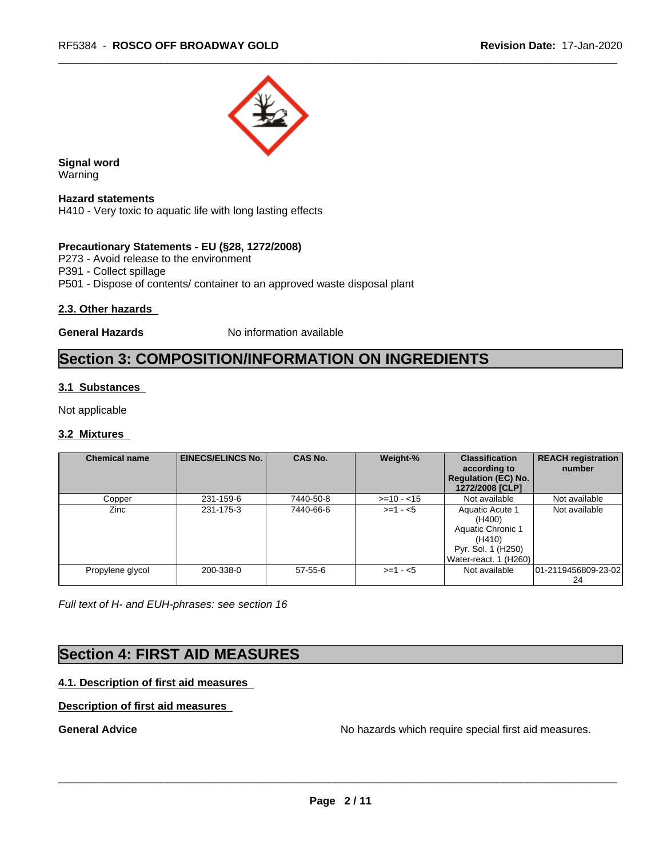

**Signal word** Warning

**Hazard statements** H410 - Very toxic to aquatic life with long lasting effects

### **Precautionary Statements - EU (§28, 1272/2008)**

P273 - Avoid release to the environment P391 - Collect spillage

P501 - Dispose of contents/ container to an approved waste disposal plant

### **2.3. Other hazards**

**General Hazards** No information available

# **Section 3: COMPOSITION/INFORMATION ON INGREDIENTS**

### **3.1 Substances**

Not applicable

### **3.2 Mixtures**

| <b>Chemical name</b> | <b>EINECS/ELINCS No.</b> | <b>CAS No.</b> | Weight-%    | <b>Classification</b><br>according to<br><b>Regulation (EC) No.</b><br>1272/2008 [CLP]                  | <b>REACH registration</b><br>number |
|----------------------|--------------------------|----------------|-------------|---------------------------------------------------------------------------------------------------------|-------------------------------------|
| Copper               | 231-159-6                | 7440-50-8      | $>=10 - 15$ | Not available                                                                                           | Not available                       |
| Zinc                 | 231-175-3                | 7440-66-6      | $>=1 - 5$   | Aquatic Acute 1<br>(H400)<br>Aquatic Chronic 1<br>(H410)<br>Pyr. Sol. 1 (H250)<br>Water-react. 1 (H260) | Not available                       |
| Propylene glycol     | 200-338-0                | $57 - 55 - 6$  | $>=1 - 5$   | Not available                                                                                           | 101-2119456809-23-021<br>24         |

*Full text of H- and EUH-phrases: see section 16*

### **Section 4: FIRST AID MEASURES**

### **4.1. Description of first aid measures**

### **Description of first aid measures**

**General Advice General Advice No hazards which require special first aid measures.**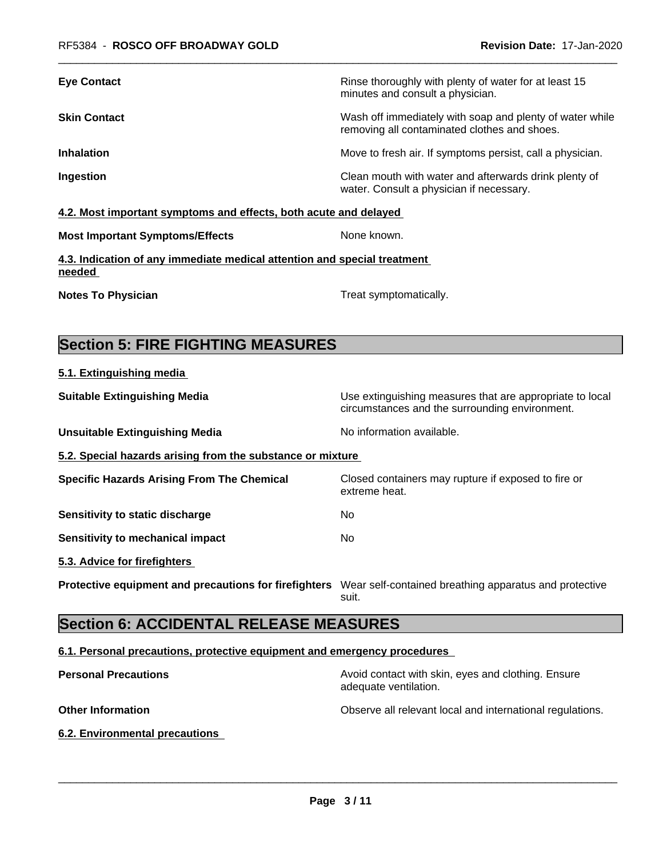| Rinse thoroughly with plenty of water for at least 15<br>minutes and consult a physician.                |
|----------------------------------------------------------------------------------------------------------|
| Wash off immediately with soap and plenty of water while<br>removing all contaminated clothes and shoes. |
| Move to fresh air. If symptoms persist, call a physician.                                                |
| Clean mouth with water and afterwards drink plenty of<br>water. Consult a physician if necessary.        |
|                                                                                                          |

**4.2. Most important symptoms and effects, both acute and delayed**

| <b>Most Important Symptoms/Effects</b> |  |
|----------------------------------------|--|
|----------------------------------------|--|

**4.3. Indication of any immediate medical attention and special treatment needed** 

**Notes To Physician** Motes **To Physician** Treat symptomatically.

**5.1. Extinguishing media**

**None known.** 

# **Section 5: FIRE FIGHTING MEASURES**

| <b>Suitable Extinguishing Media</b>                        | Use extinguishing measures that are appropriate to local<br>circumstances and the surrounding environment. |  |  |
|------------------------------------------------------------|------------------------------------------------------------------------------------------------------------|--|--|
| <b>Unsuitable Extinguishing Media</b>                      | No information available.                                                                                  |  |  |
| 5.2. Special hazards arising from the substance or mixture |                                                                                                            |  |  |
| <b>Specific Hazards Arising From The Chemical</b>          | Closed containers may rupture if exposed to fire or<br>extreme heat.                                       |  |  |
| Sensitivity to static discharge                            | No.                                                                                                        |  |  |
| Sensitivity to mechanical impact                           | No.                                                                                                        |  |  |
| 5.3. Advice for firefighters                               |                                                                                                            |  |  |
| Protective equipment and precautions for firefighters      | Wear self-contained breathing apparatus and protective<br>suit.                                            |  |  |
|                                                            |                                                                                                            |  |  |

# **Section 6: ACCIDENTAL RELEASE MEASURES**

### **6.1. Personal precautions, protective equipment and emergency procedures**

| <b>Personal Precautions</b> | Avoid contact with skin, eyes and clothing. Ensure<br>adequate ventilation. |
|-----------------------------|-----------------------------------------------------------------------------|
| <b>Other Information</b>    | Observe all relevant local and international regulations.                   |

**6.2. Environmental precautions**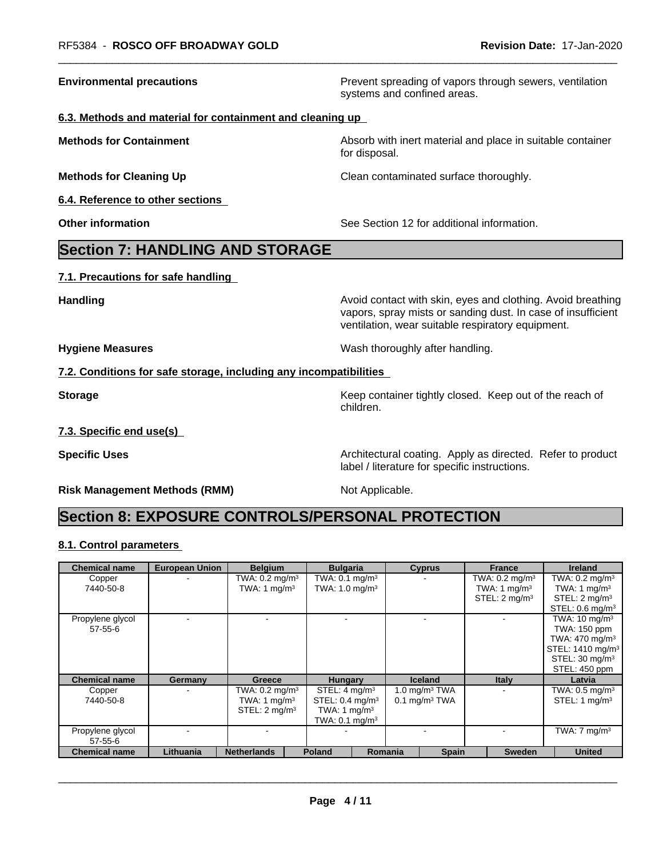**Environmental precautions Environmental precautions Prevent spreading of vapors through sewers, ventilation** systems and confined areas.

#### **6.3. Methods and material for containment and cleaning up**

**Methods for Containment Absorb with inert material and place in suitable container Methods** for Container for disposal.

**Methods for Cleaning Up Clean contaminated surface thoroughly.** 

**6.4. Reference to other sections**

**Other information** See Section 12 for additional information.

### **Section 7: HANDLING AND STORAGE**

**7.1. Precautions for safe handling**

**Handling Handling Avoid contact with skin, eyes and clothing. Avoid breathing** 

**Hygiene Measures** Mash thoroughly after handling.

label / literature for specific instructions.

### **7.2. Conditions for safe storage, including any incompatibilities**

**Storage** Storage **Keep container tightly closed.** Keep out of the reach of children.

vapors, spray mists or sanding dust. In case of insufficient

ventilation, wear suitable respiratory equipment.

**7.3. Specific end use(s)**

**Specific Uses Architectural coating. Apply as directed. Refer to product Specific Uses** 

**Risk Management Methods (RMM)** Not Applicable.

# **Section 8: EXPOSURE CONTROLS/PERSONAL PROTECTION**

### **8.1. Control parameters**

| <b>Chemical name</b>        | <b>European Union</b> | <b>Belgium</b>            | <b>Bulgaria</b>              | <b>Cyprus</b>               | <b>France</b>             | <b>Ireland</b>                              |
|-----------------------------|-----------------------|---------------------------|------------------------------|-----------------------------|---------------------------|---------------------------------------------|
| Copper                      |                       | TWA: $0.2 \text{ mg/m}^3$ | TWA: $0.1 \text{ mg/m}^3$    |                             | TWA: $0.2 \text{ mg/m}^3$ | TWA: $0.2 \text{ mg/m}^3$                   |
| 7440-50-8                   |                       | TWA: 1 $mq/m3$            | TWA: $1.0$ mg/m <sup>3</sup> |                             | TWA: 1 $mq/m3$            | TWA: 1 $mg/m3$                              |
|                             |                       |                           |                              |                             | STEL: $2 \text{ mq/m}^3$  | STEL: 2 mg/m <sup>3</sup>                   |
|                             |                       |                           |                              |                             |                           | STEL: $0.6 \text{ mg/m}^3$                  |
| Propylene glycol            |                       |                           |                              |                             |                           | TWA: $10 \text{ mg/m}^3$                    |
| 57-55-6                     |                       |                           |                              |                             |                           | TWA: 150 ppm                                |
|                             |                       |                           |                              |                             |                           | TWA: 470 mg/m <sup>3</sup>                  |
|                             |                       |                           |                              |                             |                           | STEL: 1410 mg/m <sup>3</sup>                |
|                             |                       |                           |                              |                             |                           | STEL: 30 mg/m <sup>3</sup>                  |
|                             |                       |                           |                              |                             |                           | STEL: 450 ppm                               |
| Chemical name               | Germany               | Greece                    | <b>Hungary</b>               | <b>Iceland</b>              | <b>Italy</b>              | Latvia                                      |
| Copper                      |                       | TWA: $0.2 \text{ mg/m}^3$ | STEL: $4 \text{ mq/m}^3$     | 1.0 $mq/m3 TWA$             |                           | TWA: $0.5 \text{ mg/m}^3$                   |
| 7440-50-8                   |                       | TWA: 1 $mq/m3$            | STEL: $0.4 \text{ mg/m}^3$   | $0.1$ mg/m <sup>3</sup> TWA |                           | STEL: 1 $mg/m3$                             |
|                             |                       | STEL: 2 mg/m <sup>3</sup> | TWA: 1 mg/m <sup>3</sup>     |                             |                           |                                             |
|                             |                       |                           | TWA: $0.1 \text{ mg/m}^3$    |                             |                           |                                             |
| Propylene glycol<br>57-55-6 |                       |                           |                              |                             |                           | $\overline{\text{TWA}:7}$ mg/m <sup>3</sup> |
| Chemical name               | Lithuania             | <b>Netherlands</b>        | <b>Poland</b>                | Romania<br><b>Spain</b>     | <b>Sweden</b>             | <b>United</b>                               |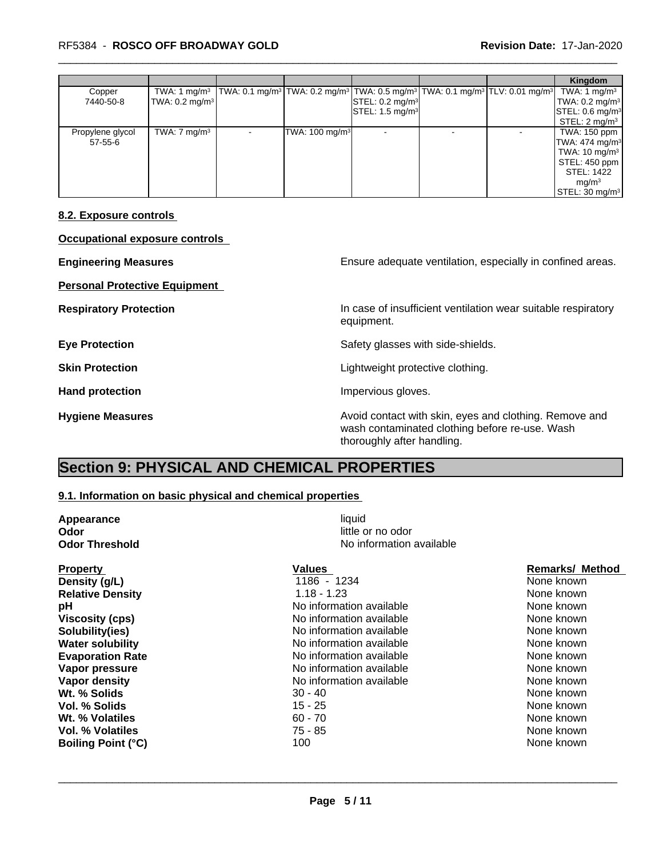### \_\_\_\_\_\_\_\_\_\_\_\_\_\_\_\_\_\_\_\_\_\_\_\_\_\_\_\_\_\_\_\_\_\_\_\_\_\_\_\_\_\_\_\_\_\_\_\_\_\_\_\_\_\_\_\_\_\_\_\_\_\_\_\_\_\_\_\_\_\_\_\_\_\_\_\_\_\_\_\_\_\_\_\_\_\_\_\_\_\_\_\_\_ RF5384 - **ROSCO OFF BROADWAY GOLD Revision Date:** 17-Jan-2020

|                  |                           |                                                                                                                                                                            |                            |                                                 |  | Kingdom                              |
|------------------|---------------------------|----------------------------------------------------------------------------------------------------------------------------------------------------------------------------|----------------------------|-------------------------------------------------|--|--------------------------------------|
| Copper           |                           | TWA: 1 mg/m <sup>3</sup>   TWA: 0.1 mg/m <sup>3</sup>   TWA: 0.2 mg/m <sup>3</sup>   TWA: 0.5 mg/m <sup>3</sup>   TWA: 0.1 mg/m <sup>3</sup>   TLV: 0.01 mg/m <sup>3</sup> |                            |                                                 |  | TWA: 1 $mg/m3$                       |
| 7440-50-8        | TWA: $0.2 \text{ mg/m}^3$ |                                                                                                                                                                            |                            | $\left \mathsf{STEL: 0.2}\right  \text{mg/m}^3$ |  | $\vert$ TWA: 0.2 mg/m <sup>3</sup>   |
|                  |                           |                                                                                                                                                                            |                            | $\textsf{ISTEL}: 1.5 \text{ mg/m}^3$            |  | $\textsf{ISTEL: 0.6}\textsf{mq/m}^3$ |
|                  |                           |                                                                                                                                                                            |                            |                                                 |  | STEL: 2 mg/m <sup>3</sup>            |
| Propylene glycol | TWA: $7 \text{ mg/m}^3$   |                                                                                                                                                                            | TWA: 100 mg/m <sup>3</sup> |                                                 |  | TWA: 150 ppm                         |
| 57-55-6          |                           |                                                                                                                                                                            |                            |                                                 |  | $TWA: 474$ mg/m <sup>3</sup>         |
|                  |                           |                                                                                                                                                                            |                            |                                                 |  | TWA: 10 mg/m <sup>3</sup>            |
|                  |                           |                                                                                                                                                                            |                            |                                                 |  | STEL: 450 ppm                        |
|                  |                           |                                                                                                                                                                            |                            |                                                 |  | STEL: 1422                           |
|                  |                           |                                                                                                                                                                            |                            |                                                 |  | mq/m <sup>3</sup>                    |
|                  |                           |                                                                                                                                                                            |                            |                                                 |  | $\textsf{STEL: } 30 \text{ mg/m}^3$  |

#### **8.2. Exposure controls**

**Occupational exposure controls**

**Personal Protective Equipment**

**Engineering Measures Ensure 2018** Ensure adequate ventilation, especially in confined areas.

**Respiratory Protection In case of insufficient ventilation wear suitable respiratory** equipment.

**Eye Protection** Safety glasses with side-shields.

**Skin Protection Skin Protection Lightweight protective clothing.** 

Hand protection **Impervious** gloves.

**Hygiene Measures Avoid contact with skin, eyes and clothing. Remove and Avoid contact with skin, eyes and clothing. Remove and** wash contaminated clothing before re-use. Wash thoroughly after handling.

## **Section 9: PHYSICAL AND CHEMICAL PROPERTIES**

### **9.1. Information on basic physical and chemical properties**

| Appearance              |                          |                        |  |  |
|-------------------------|--------------------------|------------------------|--|--|
| Odor                    |                          |                        |  |  |
| <b>Odor Threshold</b>   | No information available |                        |  |  |
| <b>Property</b>         | Values                   | <b>Remarks/ Method</b> |  |  |
| Density (g/L)           | 1186 - 1234              | None known             |  |  |
| <b>Relative Density</b> | $1.18 - 1.23$            | None known             |  |  |
| рH                      | No information available | None known             |  |  |
| <b>Viscosity (cps)</b>  | No information available | None known             |  |  |
| Solubility(ies)         | No information available | None known             |  |  |
| <b>Water solubility</b> | No information available | None known             |  |  |
| <b>Evaporation Rate</b> | No information available | None known             |  |  |
| Vapor pressure          | No information available | None known             |  |  |
| Vapor density           | No information available | None known             |  |  |
| Wt. % Solids            | $30 - 40$                | None known             |  |  |
| Vol. % Solids           | $15 - 25$                | None known             |  |  |
| Wt. % Volatiles         | $60 - 70$                | None known             |  |  |
| Vol. % Volatiles        | 75 - 85                  | None known             |  |  |

 $\overline{\phantom{a}}$  ,  $\overline{\phantom{a}}$  ,  $\overline{\phantom{a}}$  ,  $\overline{\phantom{a}}$  ,  $\overline{\phantom{a}}$  ,  $\overline{\phantom{a}}$  ,  $\overline{\phantom{a}}$  ,  $\overline{\phantom{a}}$  ,  $\overline{\phantom{a}}$  ,  $\overline{\phantom{a}}$  ,  $\overline{\phantom{a}}$  ,  $\overline{\phantom{a}}$  ,  $\overline{\phantom{a}}$  ,  $\overline{\phantom{a}}$  ,  $\overline{\phantom{a}}$  ,  $\overline{\phantom{a}}$ 

**Page 5 / 11**

**Vol. % Volatiles** 75 - 85 None known None known **Boiling Point (°C)** 100 100 None known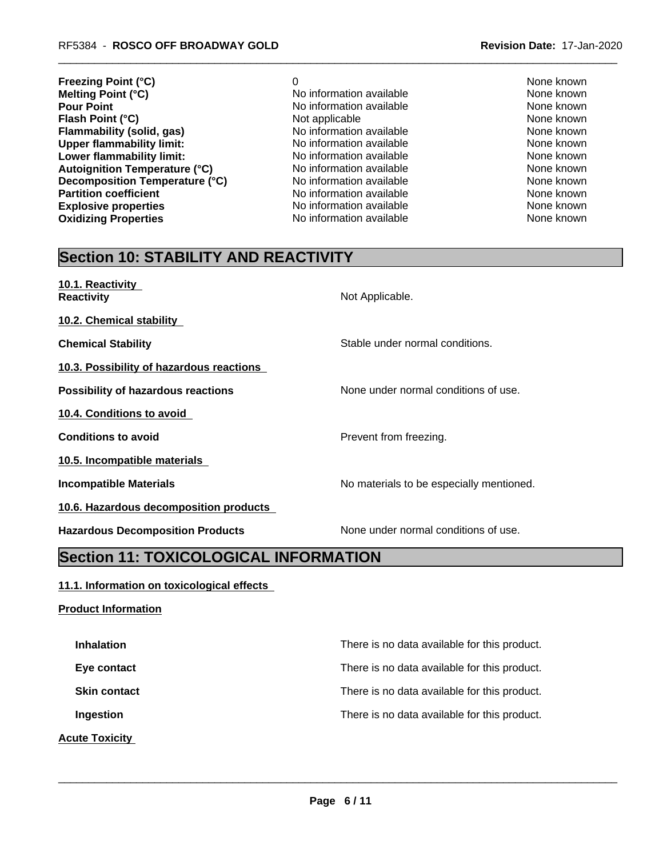- **Freezing Point (°C)** 0 None known **Melting Point (°C) None known** No information available **None known**<br> **Pour Point** None known None known No information available and the None known **Flash Point (°C) Flammability (solid, gas)** No information available None known **Upper flammability limit:**<br> **Lower flammability limit:** No information available None Known<br>
No information available None Known None known **Lower flammability limit:** No information available None known None known **Autoignition Temperature (°C)** No information available None known **Decomposition Temperature (°C)** Moinformation available Mone Known<br>
None known<br>
None known
None known
None known
None known
None known
None known
None Known
None Known
None Known
None Known
None Known
None Known
None Know **Explosive properties** The None Known No information available None Known None known **Oxidizing Properties No information available** None known None known
	- **Pour Point Point No information available None known**<br> **Point Available None known**<br>
	None known **Partition Partition Partition Cone intervention Cone known None known**
- -

# **Section 10: STABILITY AND REACTIVITY**

| 10.1. Reactivity<br><b>Reactivity</b>     | Not Applicable.                          |
|-------------------------------------------|------------------------------------------|
| 10.2. Chemical stability                  |                                          |
| <b>Chemical Stability</b>                 | Stable under normal conditions.          |
| 10.3. Possibility of hazardous reactions  |                                          |
| <b>Possibility of hazardous reactions</b> | None under normal conditions of use.     |
| 10.4. Conditions to avoid                 |                                          |
| <b>Conditions to avoid</b>                | Prevent from freezing.                   |
| 10.5. Incompatible materials              |                                          |
| <b>Incompatible Materials</b>             | No materials to be especially mentioned. |
| 10.6. Hazardous decomposition products    |                                          |
| <b>Hazardous Decomposition Products</b>   | None under normal conditions of use.     |

# **Section 11: TOXICOLOGICAL INFORMATION**

### **11.1. Information on toxicological effects**

**Product Information**

**Inhalation Inhalation Inhalation There is no data available for this product. Eye contact** Exercise **There** is no data available for this product. **Skin contact** There is no data available for this product. **Ingestion Ingestion Intervention There** is no data available for this product. **Acute Toxicity**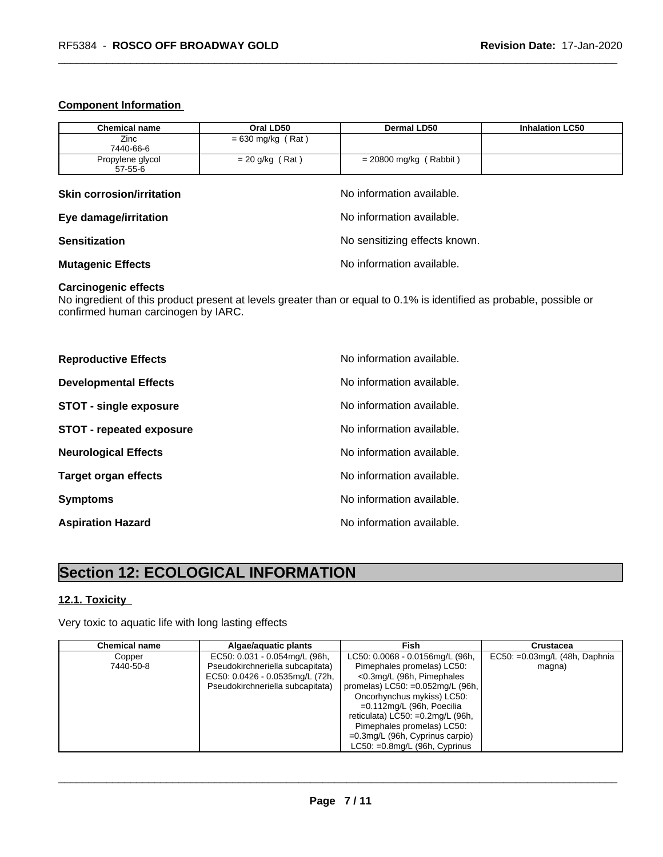### **Component Information**

| <b>Chemical name</b>             | Oral LD50                     | <b>Dermal LD50</b>        | <b>Inhalation LC50</b> |  |
|----------------------------------|-------------------------------|---------------------------|------------------------|--|
| Zinc                             | $= 630$ mg/kg (Rat)           |                           |                        |  |
| 7440-66-6                        |                               |                           |                        |  |
| Propylene glycol                 | $= 20$ g/kg (Rat)             | $= 20800$ mg/kg (Rabbit)  |                        |  |
| 57-55-6                          |                               |                           |                        |  |
| <b>Skin corrosion/irritation</b> |                               | No information available. |                        |  |
| Eye damage/irritation            | No information available.     |                           |                        |  |
| <b>Sensitization</b>             | No sensitizing effects known. |                           |                        |  |
| <b>Mutagenic Effects</b>         | No information available.     |                           |                        |  |

### **Carcinogenic effects**

No ingredient of this product present at levels greater than or equal to 0.1% is identified as probable, possible or confirmed human carcinogen by IARC.

| <b>Reproductive Effects</b>     | No information available. |
|---------------------------------|---------------------------|
| <b>Developmental Effects</b>    | No information available. |
| <b>STOT - single exposure</b>   | No information available. |
| <b>STOT - repeated exposure</b> | No information available. |
| <b>Neurological Effects</b>     | No information available. |
| <b>Target organ effects</b>     | No information available. |
| <b>Symptoms</b>                 | No information available. |
| <b>Aspiration Hazard</b>        | No information available. |

# **Section 12: ECOLOGICAL INFORMATION**

### **12.1. Toxicity**

Very toxic to aquatic life with long lasting effects

| <b>Chemical name</b> | Algae/aguatic plants             | Fish                                        | <b>Crustacea</b>                 |
|----------------------|----------------------------------|---------------------------------------------|----------------------------------|
| Copper               | EC50: 0.031 - 0.054mg/L (96h,    | LC50: 0.0068 - 0.0156mg/L (96h,             | EC50: $=0.03$ mg/L (48h, Daphnia |
| 7440-50-8            | Pseudokirchneriella subcapitata) | Pimephales promelas) LC50:                  | magna)                           |
|                      | EC50: 0.0426 - 0.0535mg/L (72h,  | <0.3mg/L (96h, Pimephales                   |                                  |
|                      | Pseudokirchneriella subcapitata) | promelas) $LC50: =0.052$ mg/L (96h, $\vert$ |                                  |
|                      |                                  | Oncorhynchus mykiss) LC50:                  |                                  |
|                      |                                  | =0.112mg/L (96h, Poecilia                   |                                  |
|                      |                                  | reticulata) $LC50: =0.2$ mg/L (96h,         |                                  |
|                      |                                  | Pimephales promelas) LC50:                  |                                  |
|                      |                                  | $=0.3$ mg/L (96h, Cyprinus carpio)          |                                  |
|                      |                                  | $LC50: =0.8$ mg/L (96h, Cyprinus            |                                  |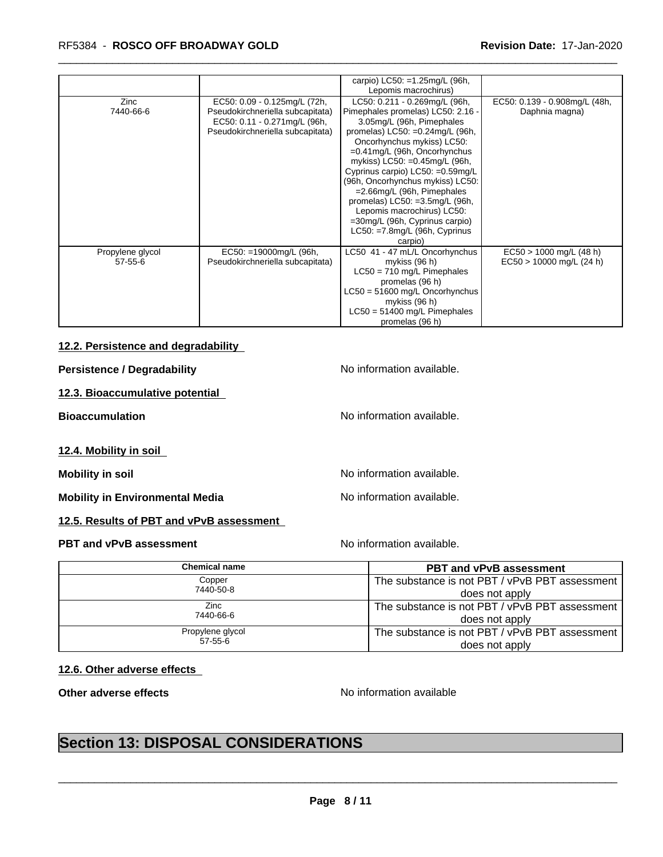### \_\_\_\_\_\_\_\_\_\_\_\_\_\_\_\_\_\_\_\_\_\_\_\_\_\_\_\_\_\_\_\_\_\_\_\_\_\_\_\_\_\_\_\_\_\_\_\_\_\_\_\_\_\_\_\_\_\_\_\_\_\_\_\_\_\_\_\_\_\_\_\_\_\_\_\_\_\_\_\_\_\_\_\_\_\_\_\_\_\_\_\_\_ RF5384 - **ROSCO OFF BROADWAY GOLD Revision Date:** 17-Jan-2020

|                                   |                                                                                                                                      | carpio) $LC50: =1.25mg/L$ (96h,<br>Lepomis macrochirus)                                                                                                                                                                                                                                                                                                                                                                                                                                            |                                                         |
|-----------------------------------|--------------------------------------------------------------------------------------------------------------------------------------|----------------------------------------------------------------------------------------------------------------------------------------------------------------------------------------------------------------------------------------------------------------------------------------------------------------------------------------------------------------------------------------------------------------------------------------------------------------------------------------------------|---------------------------------------------------------|
| Zinc<br>7440-66-6                 | EC50: 0.09 - 0.125mg/L (72h,<br>Pseudokirchneriella subcapitata)<br>EC50: 0.11 - 0.271mg/L (96h,<br>Pseudokirchneriella subcapitata) | LC50: 0.211 - 0.269mg/L (96h,<br>Pimephales promelas) LC50: 2.16 -<br>3.05mg/L (96h, Pimephales<br>promelas) $LC50: =0.24$ mg/L (96h,<br>Oncorhynchus mykiss) LC50:<br>$=0.41$ mg/L (96h, Oncorhynchus<br>mykiss) LC50: =0.45mg/L (96h,<br>Cyprinus carpio) LC50: =0.59mg/L<br>(96h, Oncorhynchus mykiss) LC50:<br>$=2.66$ mg/L (96h, Pimephales<br>promelas) LC50: =3.5mg/L (96h,<br>Lepomis macrochirus) LC50:<br>=30mg/L (96h, Cyprinus carpio)<br>$LC50: = 7.8$ mg/L (96h, Cyprinus<br>carpio) | EC50: 0.139 - 0.908mg/L (48h,<br>Daphnia magna)         |
| Propylene glycol<br>$57 - 55 - 6$ | $EC50: =19000mg/L$ (96h,<br>Pseudokirchneriella subcapitata)                                                                         | LC50 41 - 47 mL/L Oncorhynchus<br>mykiss $(96 h)$<br>$LC50 = 710$ mg/L Pimephales<br>promelas (96 h)<br>$LC50 = 51600$ mg/L Oncorhynchus<br>mykiss (96 h)<br>$LC50 = 51400$ mg/L Pimephales<br>promelas (96 h)                                                                                                                                                                                                                                                                                     | $EC50 > 1000$ mg/L (48 h)<br>$EC50 > 10000$ mg/L (24 h) |

### **12.2. Persistence and degradability**

**Persistence / Degradability** No information available.

**12.3. Bioaccumulative potential**

**Bioaccumulation Bioaccumulation Bioaccumulation** 

**12.4. Mobility in soil**

**Mobility in soil Mobility in soil Mobility in soil Mo Mo information available.** 

**Mobility in Environmental Media** Noinformation available.

**12.5. Results of PBT and vPvB assessment**

**PBT and vPvB assessment** Noinformation available.

| <b>Chemical name</b> | <b>PBT and vPvB assessment</b>                 |
|----------------------|------------------------------------------------|
| Copper               | The substance is not PBT / vPvB PBT assessment |
| 7440-50-8            | does not apply                                 |
| Zinc                 | The substance is not PBT / vPvB PBT assessment |
| 7440-66-6            | does not apply                                 |
| Propylene glycol     | The substance is not PBT / vPvB PBT assessment |
| 57-55-6              | does not apply                                 |

### **12.6. Other adverse effects**

**Other adverse effects** No information available

 $\overline{\phantom{a}}$  ,  $\overline{\phantom{a}}$  ,  $\overline{\phantom{a}}$  ,  $\overline{\phantom{a}}$  ,  $\overline{\phantom{a}}$  ,  $\overline{\phantom{a}}$  ,  $\overline{\phantom{a}}$  ,  $\overline{\phantom{a}}$  ,  $\overline{\phantom{a}}$  ,  $\overline{\phantom{a}}$  ,  $\overline{\phantom{a}}$  ,  $\overline{\phantom{a}}$  ,  $\overline{\phantom{a}}$  ,  $\overline{\phantom{a}}$  ,  $\overline{\phantom{a}}$  ,  $\overline{\phantom{a}}$ 

# **Section 13: DISPOSAL CONSIDERATIONS**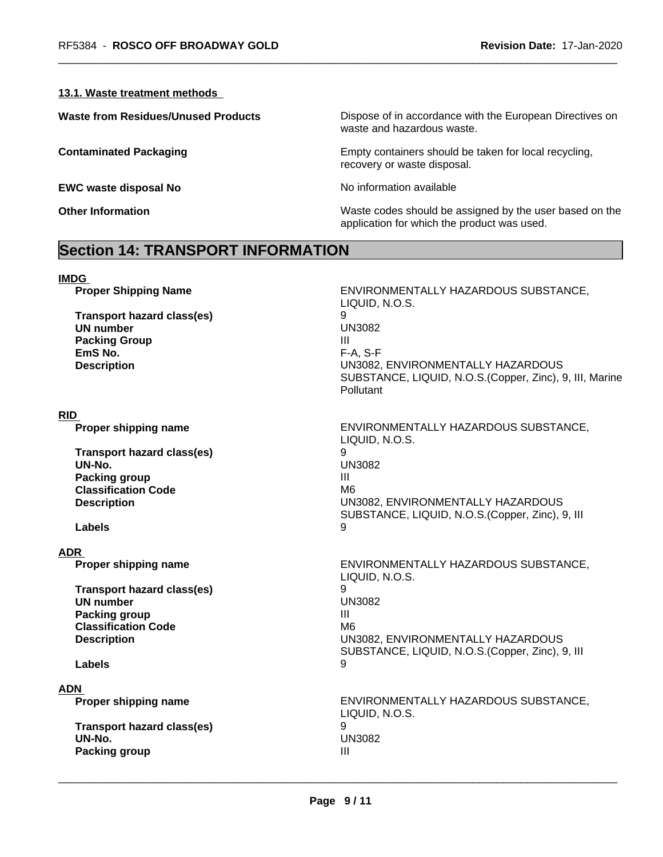### **13.1. Waste treatment methods**

**EWC waste disposal No** Noinformation available

**Waste from Residues/Unused Products** Dispose of in accordance with the European Directives on waste and hazardous waste.

**Contaminated Packaging Empty containers should be taken for local recycling,** recovery or waste disposal.

**Other Information** Maste codes should be assigned by the user based on the application for which the product was used.

# **Section 14: TRANSPORT INFORMATION**

| <b>IMDG</b> |                                                                                                                                               |                                                                                                                                                                                                                    |
|-------------|-----------------------------------------------------------------------------------------------------------------------------------------------|--------------------------------------------------------------------------------------------------------------------------------------------------------------------------------------------------------------------|
|             | <b>Proper Shipping Name</b><br><b>Transport hazard class(es)</b><br><b>UN number</b><br><b>Packing Group</b><br>EmS No.<br><b>Description</b> | ENVIRONMENTALLY HAZARDOUS SUBSTANCE,<br>LIQUID, N.O.S.<br>9<br><b>UN3082</b><br>Ш<br>F-A, S-F<br>UN3082, ENVIRONMENTALLY HAZARDOUS<br>SUBSTANCE, LIQUID, N.O.S. (Copper, Zinc), 9, III, Marine<br><b>Pollutant</b> |
| <b>RID</b>  |                                                                                                                                               |                                                                                                                                                                                                                    |
|             | Proper shipping name                                                                                                                          | ENVIRONMENTALLY HAZARDOUS SUBSTANCE,<br>LIQUID, N.O.S.                                                                                                                                                             |
|             | <b>Transport hazard class(es)</b>                                                                                                             | 9                                                                                                                                                                                                                  |
|             | UN-No.                                                                                                                                        | <b>UN3082</b>                                                                                                                                                                                                      |
|             | <b>Packing group</b>                                                                                                                          | Ш                                                                                                                                                                                                                  |
|             | <b>Classification Code</b>                                                                                                                    | M <sub>6</sub>                                                                                                                                                                                                     |
|             | <b>Description</b>                                                                                                                            | UN3082, ENVIRONMENTALLY HAZARDOUS<br>SUBSTANCE, LIQUID, N.O.S.(Copper, Zinc), 9, III                                                                                                                               |
|             | Labels                                                                                                                                        | 9                                                                                                                                                                                                                  |
| <b>ADR</b>  |                                                                                                                                               |                                                                                                                                                                                                                    |
|             | Proper shipping name                                                                                                                          | ENVIRONMENTALLY HAZARDOUS SUBSTANCE,<br>LIQUID, N.O.S.                                                                                                                                                             |
|             | <b>Transport hazard class(es)</b>                                                                                                             | 9                                                                                                                                                                                                                  |
|             | <b>UN number</b>                                                                                                                              | <b>UN3082</b>                                                                                                                                                                                                      |
|             | <b>Packing group</b>                                                                                                                          | $\mathbf{III}$                                                                                                                                                                                                     |
|             | <b>Classification Code</b>                                                                                                                    | M <sub>6</sub>                                                                                                                                                                                                     |
|             | <b>Description</b>                                                                                                                            | UN3082, ENVIRONMENTALLY HAZARDOUS<br>SUBSTANCE, LIQUID, N.O.S. (Copper, Zinc), 9, III                                                                                                                              |
|             | Labels                                                                                                                                        | 9                                                                                                                                                                                                                  |
| <b>ADN</b>  |                                                                                                                                               |                                                                                                                                                                                                                    |
|             | Proper shipping name                                                                                                                          | ENVIRONMENTALLY HAZARDOUS SUBSTANCE,<br>LIQUID, N.O.S.                                                                                                                                                             |
|             | <b>Transport hazard class(es)</b>                                                                                                             | 9                                                                                                                                                                                                                  |
|             | UN-No.                                                                                                                                        | <b>UN3082</b>                                                                                                                                                                                                      |
|             | Packing group                                                                                                                                 | $\mathbf{III}$                                                                                                                                                                                                     |
|             |                                                                                                                                               |                                                                                                                                                                                                                    |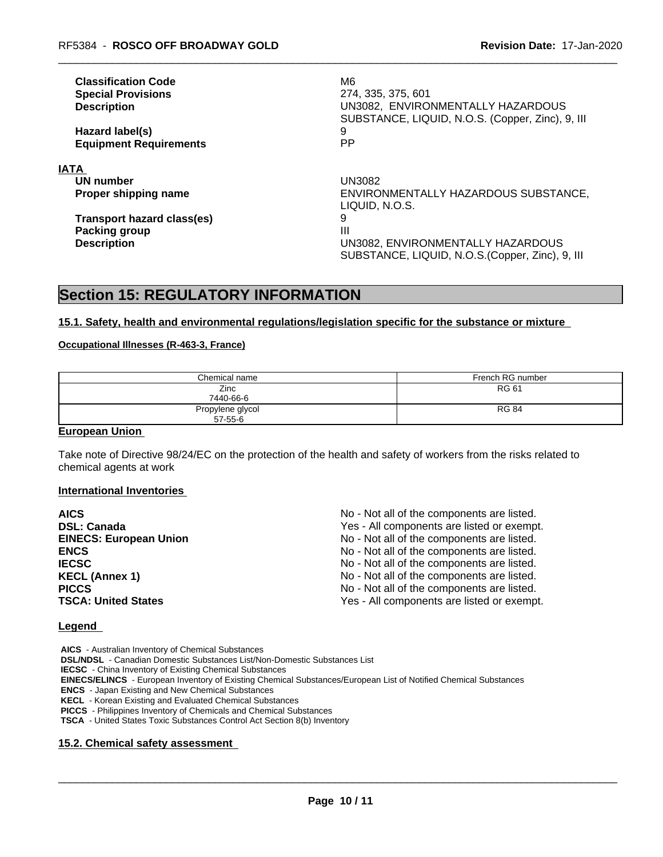| <b>Classification Code</b><br><b>Special Provisions</b><br><b>Description</b> | M6<br>274, 335, 375, 601<br>UN3082, ENVIRONMENTALLY HAZARDOUS<br>SUBSTANCE, LIQUID, N.O.S. (Copper, Zinc), 9, III |
|-------------------------------------------------------------------------------|-------------------------------------------------------------------------------------------------------------------|
| Hazard label(s)                                                               | 9                                                                                                                 |
| <b>Equipment Requirements</b>                                                 | <b>PP</b>                                                                                                         |
| <b>IATA</b>                                                                   |                                                                                                                   |
| UN number                                                                     | UN3082                                                                                                            |
| Proper shipping name                                                          | ENVIRONMENTALLY HAZARDOUS SUBSTANCE,<br>LIQUID. N.O.S.                                                            |
| <b>Transport hazard class(es)</b>                                             | 9                                                                                                                 |
| <b>Packing group</b>                                                          | Ш                                                                                                                 |
| <b>Description</b>                                                            | UN3082, ENVIRONMENTALLY HAZARDOUS<br>SUBSTANCE, LIQUID, N.O.S. (Copper, Zinc), 9, III                             |

### **Section 15: REGULATORY INFORMATION**

#### **15.1. Safety, health and environmental regulations/legislation specific for the substance or mixture**

### **Occupational Illnesses (R-463-3, France)**

| Chemical name    | French RG number |
|------------------|------------------|
| Zinc             | <b>RG 61</b>     |
| 7440-66-6        |                  |
| Propylene glycol | <b>RG 84</b>     |
| $57 - 55 - 6$    |                  |

### **European Union**

Take note of Directive 98/24/EC on the protection of the health and safety of workers from the risks related to chemical agents at work

#### **International Inventories**

| <b>AICS</b>                   | No - Not all of the components are listed. |
|-------------------------------|--------------------------------------------|
| <b>DSL: Canada</b>            | Yes - All components are listed or exempt. |
| <b>EINECS: European Union</b> | No - Not all of the components are listed. |
| <b>ENCS</b>                   | No - Not all of the components are listed. |
| <b>IECSC</b>                  | No - Not all of the components are listed. |
| <b>KECL (Annex 1)</b>         | No - Not all of the components are listed. |
| <b>PICCS</b>                  | No - Not all of the components are listed. |
| <b>TSCA: United States</b>    | Yes - All components are listed or exempt. |
|                               |                                            |

#### **Legend**

 **AICS** - Australian Inventory of Chemical Substances  **DSL/NDSL** - Canadian Domestic Substances List/Non-Domestic Substances List  **IECSC** - China Inventory of Existing Chemical Substances  **EINECS/ELINCS** - European Inventory of Existing Chemical Substances/European List of Notified Chemical Substances  **ENCS** - Japan Existing and New Chemical Substances  **KECL** - Korean Existing and Evaluated Chemical Substances  **PICCS** - Philippines Inventory of Chemicals and Chemical Substances  **TSCA** - United States Toxic Substances Control Act Section 8(b) Inventory

### **15.2. Chemical safety assessment**